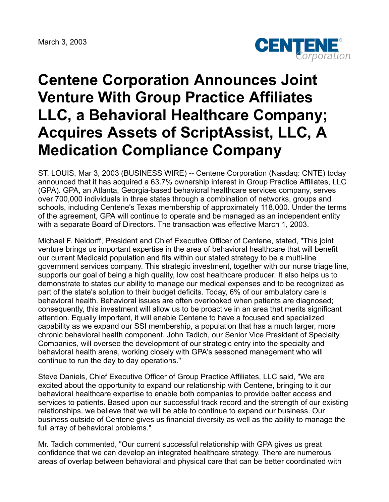March 3, 2003



## **Centene Corporation Announces Joint Venture With Group Practice Affiliates LLC, a Behavioral Healthcare Company; Acquires Assets of ScriptAssist, LLC, A Medication Compliance Company**

ST. LOUIS, Mar 3, 2003 (BUSINESS WIRE) -- Centene Corporation (Nasdaq: CNTE) today announced that it has acquired a 63.7% ownership interest in Group Practice Affiliates, LLC (GPA). GPA, an Atlanta, Georgia-based behavioral healthcare services company, serves over 700,000 individuals in three states through a combination of networks, groups and schools, including Centene's Texas membership of approximately 118,000. Under the terms of the agreement, GPA will continue to operate and be managed as an independent entity with a separate Board of Directors. The transaction was effective March 1, 2003.

Michael F. Neidorff, President and Chief Executive Officer of Centene, stated, "This joint venture brings us important expertise in the area of behavioral healthcare that will benefit our current Medicaid population and fits within our stated strategy to be a multi-line government services company. This strategic investment, together with our nurse triage line, supports our goal of being a high quality, low cost healthcare producer. It also helps us to demonstrate to states our ability to manage our medical expenses and to be recognized as part of the state's solution to their budget deficits. Today, 6% of our ambulatory care is behavioral health. Behavioral issues are often overlooked when patients are diagnosed; consequently, this investment will allow us to be proactive in an area that merits significant attention. Equally important, it will enable Centene to have a focused and specialized capability as we expand our SSI membership, a population that has a much larger, more chronic behavioral health component. John Tadich, our Senior Vice President of Specialty Companies, will oversee the development of our strategic entry into the specialty and behavioral health arena, working closely with GPA's seasoned management who will continue to run the day to day operations."

Steve Daniels, Chief Executive Officer of Group Practice Affiliates, LLC said, "We are excited about the opportunity to expand our relationship with Centene, bringing to it our behavioral healthcare expertise to enable both companies to provide better access and services to patients. Based upon our successful track record and the strength of our existing relationships, we believe that we will be able to continue to expand our business. Our business outside of Centene gives us financial diversity as well as the ability to manage the full array of behavioral problems."

Mr. Tadich commented, "Our current successful relationship with GPA gives us great confidence that we can develop an integrated healthcare strategy. There are numerous areas of overlap between behavioral and physical care that can be better coordinated with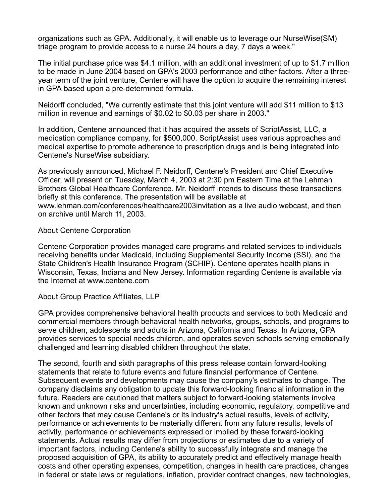organizations such as GPA. Additionally, it will enable us to leverage our NurseWise(SM) triage program to provide access to a nurse 24 hours a day, 7 days a week."

The initial purchase price was \$4.1 million, with an additional investment of up to \$1.7 million to be made in June 2004 based on GPA's 2003 performance and other factors. After a threeyear term of the joint venture, Centene will have the option to acquire the remaining interest in GPA based upon a pre-determined formula.

Neidorff concluded, "We currently estimate that this joint venture will add \$11 million to \$13 million in revenue and earnings of \$0.02 to \$0.03 per share in 2003."

In addition, Centene announced that it has acquired the assets of ScriptAssist, LLC, a medication compliance company, for \$500,000. ScriptAssist uses various approaches and medical expertise to promote adherence to prescription drugs and is being integrated into Centene's NurseWise subsidiary.

As previously announced, Michael F. Neidorff, Centene's President and Chief Executive Officer, will present on Tuesday, March 4, 2003 at 2:30 pm Eastern Time at the Lehman Brothers Global Healthcare Conference. Mr. Neidorff intends to discuss these transactions briefly at this conference. The presentation will be available at www.lehman.com/conferences/healthcare2003invitation as a live audio webcast, and then on archive until March 11, 2003.

## About Centene Corporation

Centene Corporation provides managed care programs and related services to individuals receiving benefits under Medicaid, including Supplemental Security Income (SSI), and the State Children's Health Insurance Program (SCHIP). Centene operates health plans in Wisconsin, Texas, Indiana and New Jersey. Information regarding Centene is available via the Internet at www.centene.com

## About Group Practice Affiliates, LLP

GPA provides comprehensive behavioral health products and services to both Medicaid and commercial members through behavioral health networks, groups, schools, and programs to serve children, adolescents and adults in Arizona, California and Texas. In Arizona, GPA provides services to special needs children, and operates seven schools serving emotionally challenged and learning disabled children throughout the state.

The second, fourth and sixth paragraphs of this press release contain forward-looking statements that relate to future events and future financial performance of Centene. Subsequent events and developments may cause the company's estimates to change. The company disclaims any obligation to update this forward-looking financial information in the future. Readers are cautioned that matters subject to forward-looking statements involve known and unknown risks and uncertainties, including economic, regulatory, competitive and other factors that may cause Centene's or its industry's actual results, levels of activity, performance or achievements to be materially different from any future results, levels of activity, performance or achievements expressed or implied by these forward-looking statements. Actual results may differ from projections or estimates due to a variety of important factors, including Centene's ability to successfully integrate and manage the proposed acquisition of GPA, its ability to accurately predict and effectively manage health costs and other operating expenses, competition, changes in health care practices, changes in federal or state laws or regulations, inflation, provider contract changes, new technologies,